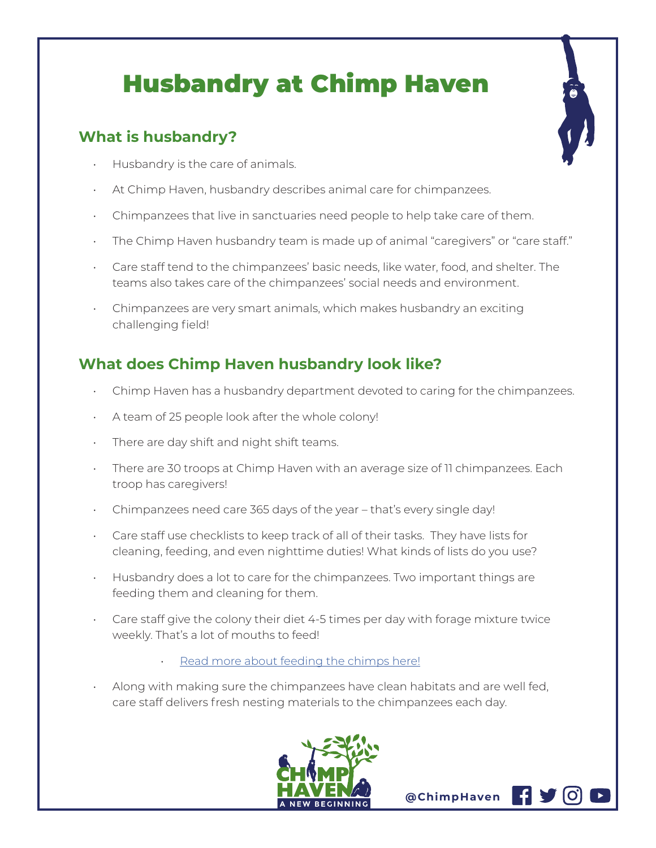## Husbandry at Chimp Haven

## **What is husbandry?**

- Husbandry is the care of animals.
- At Chimp Haven, husbandry describes animal care for chimpanzees.
- Chimpanzees that live in sanctuaries need people to help take care of them.
- The Chimp Haven husbandry team is made up of animal "caregivers" or "care staff."
- Care staff tend to the chimpanzees' basic needs, like water, food, and shelter. The teams also takes care of the chimpanzees' social needs and environment.
- Chimpanzees are very smart animals, which makes husbandry an exciting challenging field!

## **What does Chimp Haven husbandry look like?**

- Chimp Haven has a husbandry department devoted to caring for the chimpanzees.
- A team of 25 people look after the whole colony!
- There are day shift and night shift teams.
- There are 30 troops at Chimp Haven with an average size of 11 chimpanzees. Each troop has caregivers!
- Chimpanzees need care 365 days of the year that's every single day!
- Care staff use checklists to keep track of all of their tasks. They have lists for cleaning, feeding, and even nighttime duties! What kinds of lists do you use?
- Husbandry does a lot to care for the chimpanzees. Two important things are feeding them and cleaning for them.
- Care staff give the colony their diet 4-5 times per day with forage mixture twice weekly. That's a lot of mouths to feed!
	- Read more about feeding the chimps here!
- Along with making sure the chimpanzees have clean habitats and are well fed, care staff delivers fresh nesting materials to the chimpanzees each day.



**@ChimpHaven**